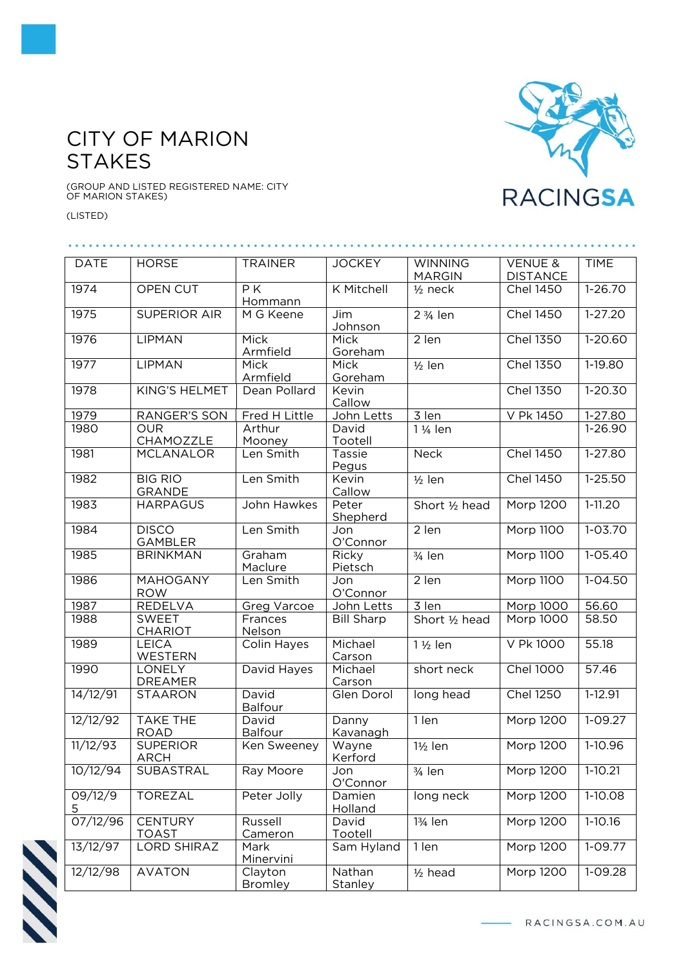## CITY OF MARION **STAKES**

. . . . . .

(GROUP AND LISTED REGISTERED NAME: CITY OF MARION STAKES)

(LISTED)

. . . . . . .



| 1974         | OPEN CUT                        | PK<br>Hommann             | K Mitchell               | $1/2$ neck            | <b>Chel 1450</b> | 1-26.70     |
|--------------|---------------------------------|---------------------------|--------------------------|-----------------------|------------------|-------------|
| 1975         | <b>SUPERIOR AIR</b>             | $\overline{M}$ G Keene    | Jim<br>Johnson           | 2 3/4 len             | <b>Chel 1450</b> | $1-27.20$   |
| 1976         | LIPMAN                          | Mick<br>Armfield          | Mick<br>Goreham          | 2 len                 | <b>Chel 1350</b> | $1-20.60$   |
| 1977         | <b>LIPMAN</b>                   | Mick<br>Armfield          | Mick<br>Goreham          | $1/2$ len             | <b>Chel 1350</b> | 1-19.80     |
| 1978         | <b>KING'S HELMET</b>            | Dean Pollard              | Kevin<br>Callow          |                       | <b>Chel 1350</b> | $1-20.30$   |
| 1979         | <b>RANGER'S SON</b>             | Fred H Little             | John Letts               | 3 len                 | V Pk 1450        | 1-27.80     |
| 1980         | <b>OUR</b>                      | Arthur                    | David                    | 1 1/ <sub>4</sub> len |                  | $1 - 26.90$ |
|              | CHAMOZZLE                       | Mooney                    | Tootell                  |                       |                  |             |
| 1981         | <b>MCLANALOR</b>                | Len Smith                 | Tassie<br>Pegus          | Neck                  | <b>Chel 1450</b> | 1-27.80     |
| 1982         | <b>BIG RIO</b><br><b>GRANDE</b> | Len Smith                 | Kevin<br>Callow          | $1/2$ len             | <b>Chel 1450</b> | $1-25.50$   |
| 1983         | <b>HARPAGUS</b>                 | John Hawkes               | Peter<br>Shepherd        | Short 1/2 head        | Morp 1200        | $1-11.20$   |
| 1984         | <b>DISCO</b><br><b>GAMBLER</b>  | Len Smith                 | Jon<br>O'Connor          | 2 len                 | Morp 1100        | $1 - 03.70$ |
| 1985         | <b>BRINKMAN</b>                 | Graham<br>Maclure         | Ricky<br>Pietsch         | 3/ <sub>4</sub> len   | <b>Morp 1100</b> | $1 - 05.40$ |
| 1986         | <b>MAHOGANY</b><br><b>ROW</b>   | Len Smith                 | Jon<br>O'Connor          | 2 len                 | Morp 1100        | $1 - 04.50$ |
| 1987         | REDELVA                         | Greg Varcoe               | John Letts               | 3 len                 | Morp 1000        | 56.60       |
| 1988         | <b>SWEET</b><br><b>CHARIOT</b>  | Frances<br>Nelson         | <b>Bill Sharp</b>        | Short 1/2 head        | Morp 1000        | 58.50       |
| 1989         | <b>LEICA</b><br>WESTERN         | Colin Hayes               | Michael<br>Carson        | $1\frac{1}{2}$ len    | V Pk 1000        | 55.18       |
| 1990         | LONELY<br><b>DREAMER</b>        | David Hayes               | Michael<br>Carson        | short neck            | <b>Chel 1000</b> | 57.46       |
| 14/12/91     | <b>STAARON</b>                  | David<br><b>Balfour</b>   | Glen Dorol               | long head             | <b>Chel 1250</b> | $1 - 12.91$ |
| 12/12/92     | <b>TAKE THE</b><br><b>ROAD</b>  | David<br>Balfour          | Danny<br>Kavanagh        | 1 len                 | <b>Morp 1200</b> | $1 - 09.27$ |
| 11/12/93     | <b>SUPERIOR</b><br><b>ARCH</b>  | Ken Sweeney               | Wayne<br>Kerford         | $1\frac{1}{2}$ len    | <b>Morp 1200</b> | $1-10.96$   |
| 10/12/94     | <b>SUBASTRAL</b>                | Ray Moore                 | Jon<br>O'Connor          | 3/ <sub>4</sub> len   | <b>Morp 1200</b> | $1-10.21$   |
| 09/12/9<br>5 | <b>TOREZAL</b>                  | Peter Jolly               | Damien<br>Holland        | long neck             | Morp 1200        | $1-10.08$   |
| 07/12/96     | <b>CENTURY</b><br><b>TOAST</b>  | Russell<br>Cameron        | David<br>Tootell         | 13⁄4 len              | Morp 1200        | $1-10.16$   |
| 13/12/97     | LORD SHIRAZ                     | Mark<br>Minervini         | Sam Hyland               | 1 len                 | <b>Morp 1200</b> | $1-09.77$   |
| 12/12/98     | <b>AVATON</b>                   | Clayton<br><b>Bromley</b> | Nathan<br><b>Stanley</b> | $1/2$ head            | <b>Morp 1200</b> | 1-09.28     |